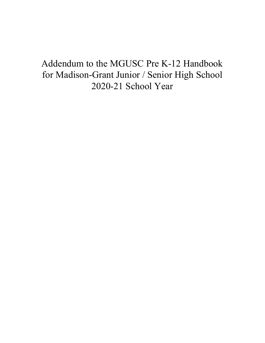# Addendum to the MGUSC Pre K-12 Handbook for Madison-Grant Junior / Senior High School 2020-21 School Year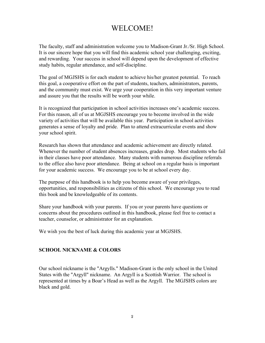# WELCOME!

The faculty, staff and administration welcome you to Madison-Grant Jr./Sr. High School. It is our sincere hope that you will find this academic school year challenging, exciting, and rewarding. Your success in school will depend upon the development of effective study habits, regular attendance, and self-discipline.

The goal of MGJSHS is for each student to achieve his/her greatest potential. To reach this goal, a cooperative effort on the part of students, teachers, administrators, parents, and the community must exist. We urge your cooperation in this very important venture and assure you that the results will be worth your while.

It is recognized that participation in school activities increases one's academic success. For this reason, all of us at MGJSHS encourage you to become involved in the wide variety of activities that will be available this year. Participation in school activities generates a sense of loyalty and pride. Plan to attend extracurricular events and show your school spirit.

Research has shown that attendance and academic achievement are directly related. Whenever the number of student absences increases, grades drop. Most students who fail in their classes have poor attendance. Many students with numerous discipline referrals to the office also have poor attendance. Being at school on a regular basis is important for your academic success. We encourage you to be at school every day.

The purpose of this handbook is to help you become aware of your privileges, opportunities, and responsibilities as citizens of this school. We encourage you to read this book and be knowledgeable of its contents.

Share your handbook with your parents. If you or your parents have questions or concerns about the procedures outlined in this handbook, please feel free to contact a teacher, counselor, or administrator for an explanation.

We wish you the best of luck during this academic year at MGJSHS.

#### **SCHOOL NICKNAME & COLORS**

Our school nickname is the "Argylls." Madison-Grant is the only school in the United States with the "Argyll" nickname. An Argyll is a Scottish Warrior. The school is represented at times by a Boar's Head as well as the Argyll. The MGJSHS colors are black and gold.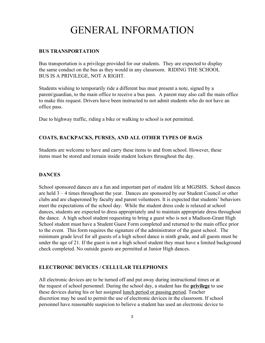# GENERAL INFORMATION

#### **BUS TRANSPORTATION**

Bus transportation is a privilege provided for our students. They are expected to display the same conduct on the bus as they would in any classroom. RIDING THE SCHOOL BUS IS A PRIVILEGE, NOT A RIGHT.

Students wishing to temporarily ride a different bus must present a note, signed by a parent/guardian, to the main office to receive a bus pass. A parent may also call the main office to make this request. Drivers have been instructed to not admit students who do not have an office pass.

Due to highway traffic, riding a bike or walking to school is not permitted.

## **COATS, BACKPACKS, PURSES, AND ALL OTHER TYPES OF BAGS**

Students are welcome to have and carry these items to and from school. However, these items must be stored and remain inside student lockers throughout the day.

## **DANCES**

School sponsored dances are a fun and important part of student life at MGJSHS. School dances are held 3 – 4 times throughout the year. Dances are sponsored by our Student Council or other clubs and are chaperoned by faculty and parent volunteers. It is expected that students' behaviors meet the expectations of the school day. While the student dress code is relaxed at school dances, students are expected to dress appropriately and to maintain appropriate dress throughout the dance. A high school student requesting to bring a guest who is not a Madison-Grant High School student must have a Student Guest Form completed and returned to the main office prior to the event. This form requires the signature of the administrator of the guest school. The minimum grade level for all guests of a high school dance is ninth grade, and all guests must be under the age of 21. If the guest is not a high school student they must have a limited background check completed. No outside guests are permitted at Junior High dances.

## **ELECTRONIC DEVICES / CELLULAR TELEPHONES**

All electronic devices are to be turned off and put away during instructional times or at the request of school personnel. During the school day, a student has the **privilege** to use these devices during his or her assigned lunch period or passing period. Teacher discretion may be used to permit the use of electronic devices in the classroom. If school personnel have reasonable suspicion to believe a student has used an electronic device to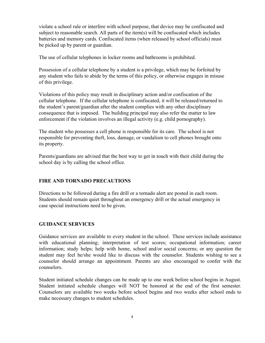violate a school rule or interfere with school purpose, that device may be confiscated and subject to reasonable search. All parts of the item(s) will be confiscated which includes batteries and memory cards. Confiscated items (when released by school officials) must be picked up by parent or guardian.

The use of cellular telephones in locker rooms and bathrooms is prohibited.

Possession of a cellular telephone by a student is a privilege, which may be forfeited by any student who fails to abide by the terms of this policy, or otherwise engages in misuse of this privilege.

Violations of this policy may result in disciplinary action and/or confiscation of the cellular telephone. If the cellular telephone is confiscated, it will be released/returned to the student's parent/guardian after the student complies with any other disciplinary consequence that is imposed. The building principal may also refer the matter to law enforcement if the violation involves an illegal activity (e.g. child pornography).

The student who possesses a cell phone is responsible for its care. The school is not responsible for preventing theft, loss, damage, or vandalism to cell phones brought onto its property.

Parents/guardians are advised that the best way to get in touch with their child during the school day is by calling the school office.

## **FIRE AND TORNADO PRECAUTIONS**

Directions to be followed during a fire drill or a tornado alert are posted in each room. Students should remain quiet throughout an emergency drill or the actual emergency in case special instructions need to be given.

## **GUIDANCE SERVICES**

Guidance services are available to every student in the school. These services include assistance with educational planning; interpretation of test scores; occupational information; career information; study helps; help with home, school and/or social concerns; or any question the student may feel he/she would like to discuss with the counselor. Students wishing to see a counselor should arrange an appointment. Parents are also encouraged to confer with the counselors.

Student initiated schedule changes can be made up to one week before school begins in August. Student initiated schedule changes will NOT be honored at the end of the first semester. Counselors are available two weeks before school begins and two weeks after school ends to make necessary changes to student schedules.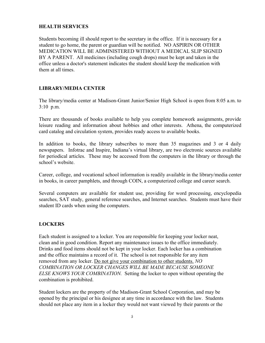## **HEALTH SERVICES**

Students becoming ill should report to the secretary in the office. If it is necessary for a student to go home, the parent or guardian will be notified. NO ASPIRIN OR OTHER MEDICATION WILL BE ADMINISTERED WITHOUT A MEDICAL SLIP SIGNED BY A PARENT. All medicines (including cough drops) must be kept and taken in the office unless a doctor's statement indicates the student should keep the medication with them at all times.

## **LIBRARY/MEDIA CENTER**

The library/media center at Madison-Grant Junior/Senior High School is open from 8:05 a.m. to 3:10 p.m.

There are thousands of books available to help you complete homework assignments, provide leisure reading and information about hobbies and other interests. Athena, the computerized card catalog and circulation system, provides ready access to available books.

In addition to books, the library subscribes to more than 35 magazines and 3 or 4 daily newspapers. Infotrac and Inspire, Indiana's virtual library, are two electronic sources available for periodical articles. These may be accessed from the computers in the library or through the school's website.

Career, college, and vocational school information is readily available in the library/media center in books, in career pamphlets, and through COIN, a computerized college and career search.

Several computers are available for student use, providing for word processing, encyclopedia searches, SAT study, general reference searches, and Internet searches. Students must have their student ID cards when using the computers.

## **LOCKERS**

Each student is assigned to a locker. You are responsible for keeping your locker neat, clean and in good condition. Report any maintenance issues to the office immediately. Drinks and food items should not be kept in your locker. Each locker has a combination and the office maintains a record of it. The school is not responsible for any item removed from any locker. Do not give your combination to other students. *NO COMBINATION OR LOCKER CHANGES WILL BE MADE BECAUSE SOMEONE ELSE KNOWS YOUR COMBINATION.* Setting the locker to open without operating the combination is prohibited.

Student lockers are the property of the Madison-Grant School Corporation, and may be opened by the principal or his designee at any time in accordance with the law. Students should not place any item in a locker they would not want viewed by their parents or the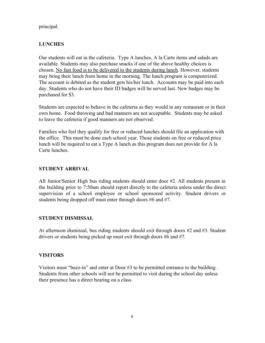principal.

# **LUNCHES**

Our students will eat in the cafeteria. Type A lunches, A la Carte items and salads are available. Students may also purchase snacks if one of the above healthy choices is chosen. No fast food is to be delivered to the students during lunch. However, students may bring their lunch from home in the morning. The lunch program is computerized. The account is debited as the student gets his/her lunch. Accounts may be paid into each day. Students who do not have their ID badges will be served last. New badges may be purchased for \$3.

Students are expected to behave in the cafeteria as they would in any restaurant or in their own home. Food throwing and bad manners are not acceptable. Students may be asked to leave the cafeteria if good manners are not observed.

Families who feel they qualify for free or reduced lunches should file an application with the office. This must be done each school year. Those students on free or reduced price lunch will be required to eat a Type A lunch as this program does not provide for A la Carte lunches.

# **STUDENT ARRIVAL**

All Junior/Senior High bus riding students should enter door #2. All students present in the building prior to 7:50am should report directly to the cafeteria unless under the direct supervision of a school employee or school sponsored activity. Student drivers or students being dropped off must enter through doors #6 and #7.

## **STUDENT DISMISSAL**

At afternoon dismissal, bus riding students should exit through doors #2 and #3. Student drivers or students being picked up must exit through doors #6 and #7.

# **VISITORS**

Visitors must "buzz-in" and enter at Door #3 to be permitted entrance to the building. Students from other schools will not be permitted to visit during the school day unless their presence has a direct bearing on a class.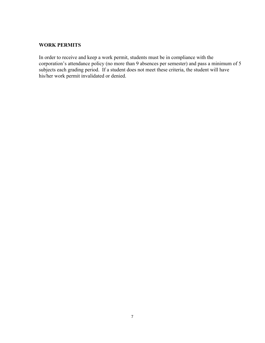#### **WORK PERMITS**

In order to receive and keep a work permit, students must be in compliance with the corporation's attendance policy (no more than 9 absences per semester) and pass a minimum of 5 subjects each grading period. If a student does not meet these criteria, the student will have his/her work permit invalidated or denied.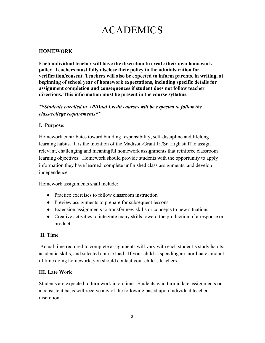# ACADEMICS

# **HOMEWORK**

**Each individual teacher will have the discretion to create their own homework policy. Teachers must fully disclose their policy to the administration for verification/consent. Teachers will also be expected to inform parents, in writing, at beginning of school year of homework expectations, including specific details for assignment completion and consequences if student does not follow teacher directions. This information must be present in the course syllabus.**

# *\*\*Students enrolled in AP/Dual Credit courses will be expected to follow the class/college requirements\*\**

## **I. Purpose:**

Homework contributes toward building responsibility, self-discipline and lifelong learning habits. It is the intention of the Madison-Grant Jr./Sr. High staff to assign relevant, challenging and meaningful homework assignments that reinforce classroom learning objectives. Homework should provide students with the opportunity to apply information they have learned, complete unfinished class assignments, and develop independence.

Homework assignments shall include:

- Practice exercises to follow classroom instruction
- Preview assignments to prepare for subsequent lessons
- Extension assignments to transfer new skills or concepts to new situations
- Creative activities to integrate many skills toward the production of a response or product

## **II. Time**

 Actual time required to complete assignments will vary with each student's study habits, academic skills, and selected course load. If your child is spending an inordinate amount of time doing homework, you should contact your child's teachers.

## **III. Late Work**

Students are expected to turn work in on time. Students who turn in late assignments on a consistent basis will receive any of the following based upon individual teacher discretion.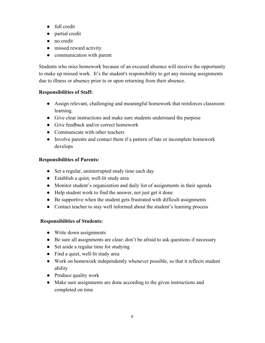- full credit
- partial credit
- no credit
- missed reward activity
- communication with parent

Students who miss homework because of an excused absence will receive the opportunity to make up missed work. It's the student's responsibility to get any missing assignments due to illness or absence prior to or upon returning from their absence.

# **Responsibilities of Staff:**

- Assign relevant, challenging and meaningful homework that reinforces classroom learning.
- Give clear instructions and make sure students understand the purpose
- Give feedback and/or correct homework
- Communicate with other teachers
- Involve parents and contact them if a pattern of late or incomplete homework develops

# **Responsibilities of Parents:**

- Set a regular, uninterrupted study time each day
- Establish a quiet, well-lit study area
- Monitor student's organization and daily list of assignments in their agenda
- Help student work to find the answer, not just get it done
- Be supportive when the student gets frustrated with difficult assignments
- Contact teacher to stay well informed about the student's learning process

# **Responsibilities of Students:**

- Write down assignments
- Be sure all assignments are clear; don't be afraid to ask questions if necessary
- Set aside a regular time for studying
- Find a quiet, well-lit study area
- Work on homework independently whenever possible, so that it reflects student ability
- Produce quality work
- Make sure assignments are done according to the given instructions and completed on time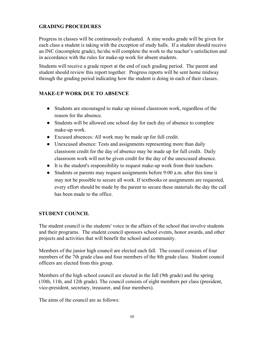# **GRADING PROCEDURES**

Progress in classes will be continuously evaluated. A nine weeks grade will be given for each class a student is taking with the exception of study halls. If a student should receive an INC (incomplete grade), he/she will complete the work to the teacher's satisfaction and in accordance with the rules for make-up work for absent students.

Students will receive a grade report at the end of each grading period. The parent and student should review this report together. Progress reports will be sent home midway through the grading period indicating how the student is doing in each of their classes.

# **MAKE-UP WORK DUE TO ABSENCE**

- Students are encouraged to make up missed classroom work, regardless of the reason for the absence.
- Students will be allowed one school day for each day of absence to complete make-up work.
- Excused absences: All work may be made up for full credit.
- Unexcused absence: Tests and assignments representing more than daily classroom credit for the day of absence may be made up for full credit. Daily classroom work will not be given credit for the day of the unexcused absence.
- It is the student's responsibility to request make-up work from their teachers.
- Students or parents may request assignments before 9:00 a.m. after this time it may not be possible to secure all work. If textbooks or assignments are requested, every effort should be made by the parent to secure these materials the day the call has been made to the office.

# **STUDENT COUNCIL**

The student council is the students' voice in the affairs of the school that involve students and their programs. The student council sponsors school events, honor awards, and other projects and activities that will benefit the school and community.

Members of the junior high council are elected each fall. The council consists of four members of the 7th grade class and four members of the 8th grade class. Student council officers are elected from this group.

Members of the high school council are elected in the fall (9th grade) and the spring (10th, 11th, and 12th grade). The council consists of eight members per class (president, vice-president, secretary, treasurer, and four members).

The aims of the council are as follows: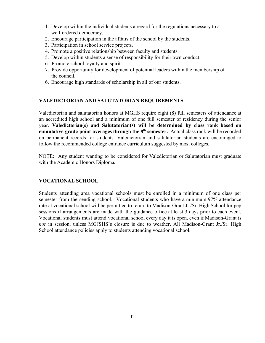- 1. Develop within the individual students a regard for the regulations necessary to a well-ordered democracy.
- 2. Encourage participation in the affairs of the school by the students.
- 3. Participation in school service projects.
- 4. Promote a positive relationship between faculty and students.
- 5. Develop within students a sense of responsibility for their own conduct.
- 6. Promote school loyalty and spirit.
- 7. Provide opportunity for development of potential leaders within the membership of the council.
- 6. Encourage high standards of scholarship in all of our students.

## **VALEDICTORIAN AND SALUTATORIAN REQUIREMENTS**

Valedictorian and salutatorian honors at MGHS require eight (8) full semesters of attendance at an accredited high school and a minimum of one full semester of residency during the senior year. **Valedictorian(s) and Salutatorian(s) will be determined by class rank based on cumulative grade point averages through the 8 th semester.** Actual class rank will be recorded on permanent records for students. Valedictorian and salutatorian students are encouraged to follow the recommended college entrance curriculum suggested by most colleges.

NOTE: Any student wanting to be considered for Valedictorian or Salutatorian must graduate with the Academic Honors Diploma**.**

## **VOCATIONAL SCHOOL**

Students attending area vocational schools must be enrolled in a minimum of one class per semester from the sending school. Vocational students who have a minimum 97% attendance rate at vocational school will be permitted to return to Madison-Grant Jr./Sr. High School for pep sessions if arrangements are made with the guidance office at least 3 days prior to each event. Vocational students must attend vocational school every day it is open, even if Madison-Grant is *not* in session, unless MGJSHS's closure is due to weather. All Madison-Grant Jr./Sr. High School attendance policies apply to students attending vocational school.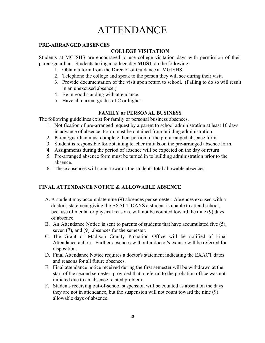# **ATTENDANCE**

#### **PRE-ARRANGED ABSENCES**

# **COLLEGE VISITATION**

Students at MGJSHS are encouraged to use college visitation days with permission of their parent/guardian. Students taking a college day **MUST** do the following:

- 1. Obtain a form from the Director of Guidance at MGJSHS.
- 2. Telephone the college and speak to the person they will see during their visit.
- 3. Provide documentation of the visit upon return to school. (Failing to do so will result in an unexcused absence.)
- 4. Be in good standing with attendance.
- 5. Have all current grades of C or higher.

# **FAMILY or PERSONAL BUSINESS**

The following guidelines exist for family or personal business absences.

- 1. Notification of pre-arranged request by a parent to school administration at least 10 days in advance of absence. Form must be obtained from building administration.
- 2. Parent/guardian must complete their portion of the pre-arranged absence form.
- 3. Student is responsible for obtaining teacher initials on the pre-arranged absence form.
- 4. Assignments during the period of absence will be expected on the day of return.
- 5. Pre-arranged absence form must be turned in to building administration prior to the absence.
- 6. These absences will count towards the students total allowable absences.

# **FINAL ATTENDANCE NOTICE & ALLOWABLE ABSENCE**

- A. A student may accumulate nine (9) absences per semester. Absences excused with a doctor's statement giving the EXACT DAYS a student is unable to attend school, because of mental or physical reasons, will not be counted toward the nine (9) days of absence.
- B. An Attendance Notice is sent to parents of students that have accumulated five (5), seven (7), and (9) absences for the semester.
- C. The Grant or Madison County Probation Office will be notified of Final Attendance action. Further absences without a doctor's excuse will be referred for disposition.
- D. Final Attendance Notice requires a doctor's statement indicating the EXACT dates and reasons for all future absences.
- E. Final attendance notice received during the first semester will be withdrawn at the start of the second semester, provided that a referral to the probation office was not initiated due to an absence related problem.
- F. Students receiving out-of-school suspension will be counted as absent on the days they are not in attendance, but the suspension will not count toward the nine (9) allowable days of absence.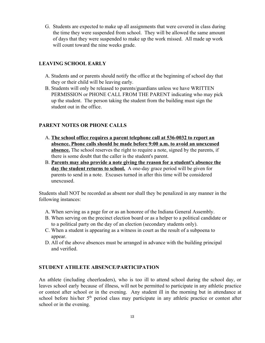G. Students are expected to make up all assignments that were covered in class during the time they were suspended from school. They will be allowed the same amount of days that they were suspended to make up the work missed. All made up work will count toward the nine weeks grade.

#### **LEAVING SCHOOL EARLY**

- A. Students and or parents should notify the office at the beginning of school day that they or their child will be leaving early.
- B. Students will only be released to parents/guardians unless we have WRITTEN PERMISSION or PHONE CALL FROM THE PARENT indicating who may pick up the student. The person taking the student from the building must sign the student out in the office.

#### **PARENT NOTES OR PHONE CALLS**

- A. **The school office requires a parent telephone call at 536-0032 to report an absence. Phone calls should be made before 9:00 a.m. to avoid an unexcused absence.** The school reserves the right to require a note, signed by the parents, if there is some doubt that the caller is the student's parent.
- B. **Parents may also provide a note giving the reason for a student's absence the day the student returns to school.** A one-day grace period will be given for parents to send in a note. Excuses turned in after this time will be considered unexcused.

Students shall NOT be recorded as absent nor shall they be penalized in any manner in the following instances:

- A. When serving as a page for or as an honoree of the Indiana General Assembly.
- B. When serving on the precinct election board or as a helper to a political candidate or to a political party on the day of an election (secondary students only).
- C. When a student is appearing as a witness in court as the result of a subpoena to appear.
- D. All of the above absences must be arranged in advance with the building principal and verified.

#### **STUDENT ATHLETE ABSENCE/PARTICIPATION**

An athlete (including cheerleaders), who is too ill to attend school during the school day, or leaves school early because of illness, will not be permitted to participate in any athletic practice or contest after school or in the evening. Any student ill in the morning but in attendance at school before his/her 5<sup>th</sup> period class may participate in any athletic practice or contest after school or in the evening.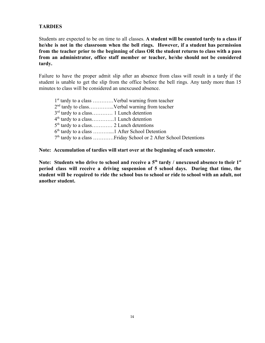# **TARDIES**

Students are expected to be on time to all classes. **A student will be counted tardy to a class if he/she is not in the classroom when the bell rings. However, if a student has permission from the teacher prior to the beginning of class OR the student returns to class with a pass from an administrator, office staff member or teacher, he/she should not be considered tardy.**

Failure to have the proper admit slip after an absence from class will result in a tardy if the student is unable to get the slip from the office before the bell rings. Any tardy more than 15 minutes to class will be considered an unexcused absence.

 st tardy to a class …………Verbal warning from teacher 2<sup>nd</sup> tardy to class...............Verbal warning from teacher 3<sup>rd</sup> tardy to a class............ 1 Lunch detention th tardy to a class………….1 Lunch detention th tardy to a class………… 2 Lunch detentions th tardy to a class ………....1 After School Detention th tardy to a class …………Friday School or 2 After School Detentions

**Note: Accumulation of tardies will start over at the beginning of each semester.**

Note: Students who drive to school and receive a  $5<sup>th</sup>$  tardy / unexcused absence to their  $1<sup>st</sup>$ **period class will receive a driving suspension of 5 school days. During that time, the** student will be required to ride the school bus to school or ride to school with an adult, not **another student.**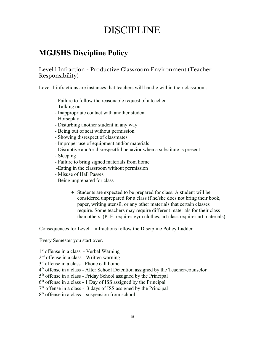# DISCIPLINE

# **MGJSHS Discipline Policy**

# Level l Infraction - Productive Classroom Environment (Teacher Responsibility)

Level 1 infractions are instances that teachers will handle within their classroom.

- Failure to follow the reasonable request of a teacher
- Talking out
- Inappropriate contact with another student
- Horseplay
- Disturbing another student in any way
- Being out of seat without permission
- Showing disrespect of classmates
- Improper use of equipment and/or materials
- Disruptive and/or disrespectful behavior when a substitute is present
- Sleeping
- Failure to bring signed materials from home
- -Eating in the classroom without permission
- Misuse of Hall Passes
- Being unprepared for class
	- Students are expected to be prepared for class. A student will be considered unprepared for a class if he/she does not bring their book, paper, writing utensil, or any other materials that certain classes require. Some teachers may require different materials for their class than others. (P .E. requires gym clothes, art class requires art materials)

Consequences for Level 1 infractions follow the Discipline Policy Ladder

Every Semester you start over.

1 st offense in a class - Verbal Warning

2 nd offense in a class - Written warning

3 rd offense in a class - Phone call home

- 4 th offense in a class After School Detention assigned by the Teacher/counselor
- 5 th offense in a class Friday School assigned by the Principal
- 6 th offense in a class 1 Day of ISS assigned by the Principal
- 7 th offense in a class 3 days of ISS assigned by the Principal
- 8<sup>th</sup> offense in a class suspension from school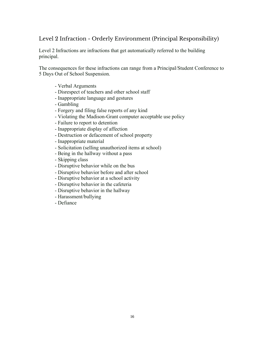# Level 2 Infraction - Orderly Environment (Principal Responsibility)

Level 2 Infractions are infractions that get automatically referred to the building principal.

The consequences for these infractions can range from a Principal/Student Conference to 5 Days Out of School Suspension.

- Verbal Arguments
- Disrespect of teachers and other school staff
- Inappropriate language and gestures
- Gambling
- Forgery and filing false reports of any kind
- Violating the Madison-Grant computer acceptable use policy
- Failure to report to detention
- Inappropriate display of affection
- Destruction or defacement of school property
- Inappropriate material
- Solicitation (selling unauthorized items at school)
- Being in the hallway without a pass
- Skipping class
- Disruptive behavior while on the bus
- Disruptive behavior before and after school
- Disruptive behavior at a school activity
- Disruptive behavior in the cafeteria
- Disruptive behavior in the hallway
- Harassment/bullying
- Defiance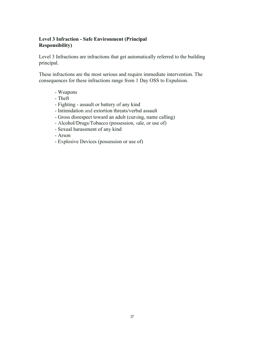# **Level 3 Infraction - Safe Environment (Principal Responsibility)**

Level 3 Infractions are infractions that get automatically referred to the building principal.

These infractions are the most serious and require immediate intervention. The consequences for these infractions range from 1 Day OSS to Expulsion.

- Weapons
- Theft
- Fighting assault or battery of any kind
- Intimidation and extortion threats/verbal assault
- Gross disrespect toward an adult (cursing, name calling)
- Alcohol/Drugs/Tobacco (possession, sale, or use of)
- Sexual harassment of any kind
- Arson
- Explosive Devices (possession or use of)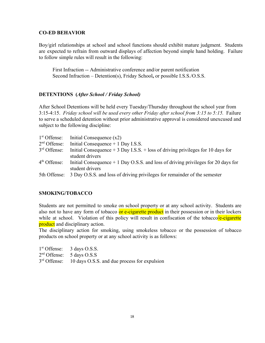#### **CO-ED BEHAVIOR**

Boy/girl relationships at school and school functions should exhibit mature judgment. Students are expected to refrain from outward displays of affection beyond simple hand holding. Failure to follow simple rules will result in the following:

First Infraction -- Administrative conference and/or parent notification Second Infraction – Detention(s), Friday School**,** or possible I.S.S./O.S.S.

#### **DETENTIONS (***After School / Friday School)*

After School Detentions will be held every Tuesday/Thursday throughout the school year from 3:15-4:15. *Friday school will be used every other Friday after school from 3:15 to 5:15.* Failure to serve a scheduled detention without prior administrative approval is considered unexcused and subject to the following discipline:

| $1st$ Offense: | Initial Consequence $(x2)$                                                         |
|----------------|------------------------------------------------------------------------------------|
| $2nd$ Offense: | Initial Consequence $+$ 1 Day I.S.S.                                               |
| $3rd$ Offense: | Initial Consequence $+3$ Day I.S.S. $+$ loss of driving privileges for 10 days for |
|                | student drivers                                                                    |
| $4th$ Offense: | Initial Consequence $+1$ Day O.S.S. and loss of driving privileges for 20 days for |
|                | student drivers                                                                    |
| 5th Offense:   | 3 Day O.S.S. and loss of driving privileges for remainder of the semester          |

## **SMOKING/TOBACCO**

Students are not permitted to smoke on school property or at any school activity. Students are also not to have any form of tobacco or e-cigarette product in their possession or in their lockers while at school. Violation of this policy will result in confiscation of the tobaccole-cigarette product and disciplinary action.

The disciplinary action for smoking, using smokeless tobacco or the possession of tobacco products on school property or at any school activity is as follows:

| $1st$ Offense: 3 days O.S.S.                                |
|-------------------------------------------------------------|
| $2nd$ Offense: 5 days O.S.S                                 |
| $3rd$ Offense: 10 days O.S.S. and due process for expulsion |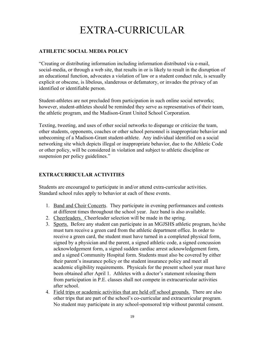# EXTRA-CURRICULAR

# **ATHLETIC SOCIAL MEDIA POLICY**

"Creating or distributing information including information distributed via e-mail, social-media, or through a web site, that results in or is likely to result in the disruption of an educational function, advocates a violation of law or a student conduct rule, is sexually explicit or obscene, is libelous, slanderous or defamatory, or invades the privacy of an identified or identifiable person.

Student-athletes are not precluded from participation in such online social networks; however, student-athletes should be reminded they serve as representatives of their team, the athletic program, and the Madison-Grant United School Corporation.

Texting, tweeting, and uses of other social networks to disparage or criticize the team, other students, opponents, coaches or other school personnel is inappropriate behavior and unbecoming of a Madison-Grant student-athlete. Any individual identified on a social networking site which depicts illegal or inappropriate behavior, due to the Athletic Code or other policy, will be considered in violation and subject to athletic discipline or suspension per policy guidelines."

# **EXTRACURRICULAR ACTIVITIES**

Students are encouraged to participate in and/or attend extra-curricular activities. Standard school rules apply to behavior at each of these events.

- 1. Band and Choir Concerts. They participate in evening performances and contests at different times throughout the school year. Jazz band is also available.
- 2. Cheerleaders. Cheerleader selection will be made in the spring.
- 3. Sports. Before any student can participate in an MGJSHS athletic program, he/she must turn receive a green card from the athletic department office. In order to receive a green card, the student must have turned in a completed physical form, signed by a physician and the parent, a signed athletic code, a signed concussion acknowledgement form, a signed sudden cardiac arrest acknowledgement form, and a signed Community Hospital form. Students must also be covered by either their parent's insurance policy or the student insurance policy and meet all academic eligibility requirements. Physicals for the present school year must have been obtained after April 1. Athletes with a doctor's statement releasing them from participation in P.E. classes shall not compete in extracurricular activities after school.
- 4. Field trips or academic activities that are held off school grounds. There are also other trips that are part of the school's co-curricular and extracurricular program. No student may participate in any school-sponsored trip without parental consent.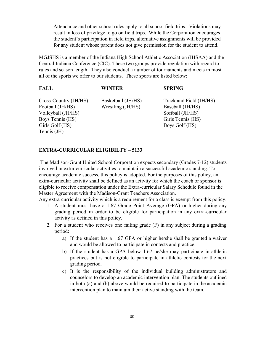Attendance and other school rules apply to all school field trips. Violations may result in loss of privilege to go on field trips. While the Corporation encourages the student's participation in field trips, alternative assignments will be provided for any student whose parent does not give permission for the student to attend.

MGJSHS is a member of the Indiana High School Athletic Association (IHSAA) and the Central Indiana Conference (CIC). These two groups provide regulation with regard to rules and season length. They also conduct a number of tournaments and meets in most all of the sports we offer to our students. These sports are listed below:

| <b>FALL</b>                                                                                                           | <b>WINTER</b>                           | <b>SPRING</b>                                                                                          |
|-----------------------------------------------------------------------------------------------------------------------|-----------------------------------------|--------------------------------------------------------------------------------------------------------|
| Cross-Country (JH/HS)<br>Football (JH/HS)<br>Volleyball (JH/HS)<br>Boys Tennis (HS)<br>Girls Golf (HS)<br>Tennis (JH) | Basketball (JH/HS)<br>Wrestling (JH/HS) | Track and Field (JH/HS)<br>Baseball (JH/HS)<br>Softball (JH/HS)<br>Girls Tennis (HS)<br>Boys Golf (HS) |
|                                                                                                                       |                                         |                                                                                                        |

#### **EXTRA-CURRICULAR ELIGIBILTY – 5133**

 The Madison-Grant United School Corporation expects secondary (Grades 7-12) students involved in extra-curricular activities to maintain a successful academic standing. To encourage academic success, this policy is adopted. For the purposes of this policy, an extra-curricular activity shall be defined as an activity for which the coach or sponsor is eligible to receive compensation under the Extra-curricular Salary Schedule found in the Master Agreement with the Madison-Grant Teachers Association.

Any extra-curricular activity which is a requirement for a class is exempt from this policy.

- 1. A student must have a 1.67 Grade Point Average (GPA) or higher during any grading period in order to be eligible for participation in any extra-curricular activity as defined in this policy.
- 2. For a student who receives one failing grade (F) in any subject during a grading period:
	- a) If the student has a 1.67 GPA or higher he/she shall be granted a waiver and would be allowed to participate in contests and practice.
	- b) If the student has a GPA below 1.67 he/she may participate in athletic practices but is not eligible to participate in athletic contests for the next grading period.
	- c) It is the responsibility of the individual building administrators and counselors to develop an academic intervention plan. The students outlined in both (a) and (b) above would be required to participate in the academic intervention plan to maintain their active standing with the team.